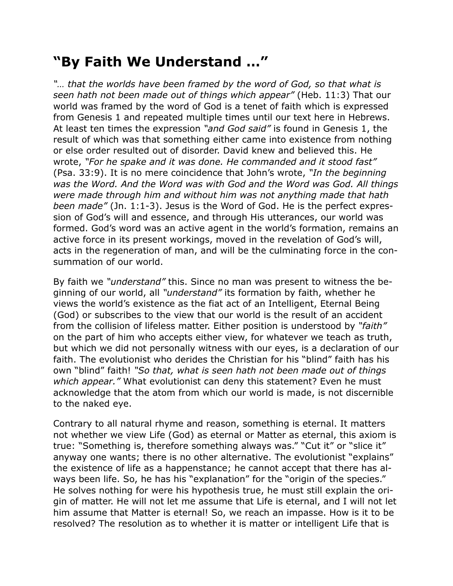## **"By Faith We Understand …"**

*"… that the worlds have been framed by the word of God, so that what is seen hath not been made out of things which appear"* (Heb. 11:3) That our world was framed by the word of God is a tenet of faith which is expressed from Genesis 1 and repeated multiple times until our text here in Hebrews. At least ten times the expression *"and God said"* is found in Genesis 1, the result of which was that something either came into existence from nothing or else order resulted out of disorder. David knew and believed this. He wrote, *"For he spake and it was done. He commanded and it stood fast"* (Psa. 33:9). It is no mere coincidence that John's wrote, *"In the beginning was the Word. And the Word was with God and the Word was God. All things were made through him and without him was not anything made that hath been made"* (Jn. 1:1-3). Jesus is the Word of God. He is the perfect expression of God's will and essence, and through His utterances, our world was formed. God's word was an active agent in the world's formation, remains an active force in its present workings, moved in the revelation of God's will, acts in the regeneration of man, and will be the culminating force in the consummation of our world.

By faith we *"understand"* this. Since no man was present to witness the beginning of our world, all *"understand"* its formation by faith, whether he views the world's existence as the fiat act of an Intelligent, Eternal Being (God) or subscribes to the view that our world is the result of an accident from the collision of lifeless matter. Either position is understood by *"faith"* on the part of him who accepts either view, for whatever we teach as truth, but which we did not personally witness with our eyes, is a declaration of our faith. The evolutionist who derides the Christian for his "blind" faith has his own "blind" faith! *"So that, what is seen hath not been made out of things which appear."* What evolutionist can deny this statement? Even he must acknowledge that the atom from which our world is made, is not discernible to the naked eye.

Contrary to all natural rhyme and reason, something is eternal. It matters not whether we view Life (God) as eternal or Matter as eternal, this axiom is true: "Something is, therefore something always was." "Cut it" or "slice it" anyway one wants; there is no other alternative. The evolutionist "explains" the existence of life as a happenstance; he cannot accept that there has always been life. So, he has his "explanation" for the "origin of the species." He solves nothing for were his hypothesis true, he must still explain the origin of matter. He will not let me assume that Life is eternal, and I will not let him assume that Matter is eternal! So, we reach an impasse. How is it to be resolved? The resolution as to whether it is matter or intelligent Life that is